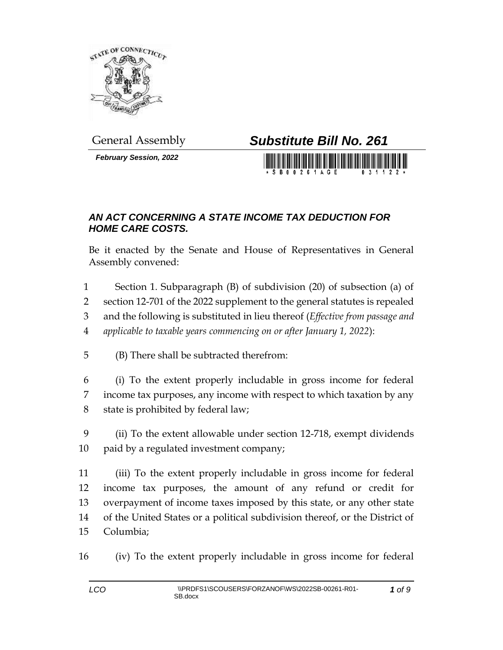

*February Session, 2022*

## General Assembly *Substitute Bill No. 261*

S B 0 0 2 6 1 A G E

## *AN ACT CONCERNING A STATE INCOME TAX DEDUCTION FOR HOME CARE COSTS.*

Be it enacted by the Senate and House of Representatives in General Assembly convened:

- Section 1. Subparagraph (B) of subdivision (20) of subsection (a) of
- section 12-701 of the 2022 supplement to the general statutes is repealed
- and the following is substituted in lieu thereof (*Effective from passage and*
- *applicable to taxable years commencing on or after January 1, 2022*):
- (B) There shall be subtracted therefrom:
- (i) To the extent properly includable in gross income for federal income tax purposes, any income with respect to which taxation by any state is prohibited by federal law;
- (ii) To the extent allowable under section 12-718, exempt dividends 10 paid by a regulated investment company;

 (iii) To the extent properly includable in gross income for federal income tax purposes, the amount of any refund or credit for overpayment of income taxes imposed by this state, or any other state of the United States or a political subdivision thereof, or the District of Columbia;

(iv) To the extent properly includable in gross income for federal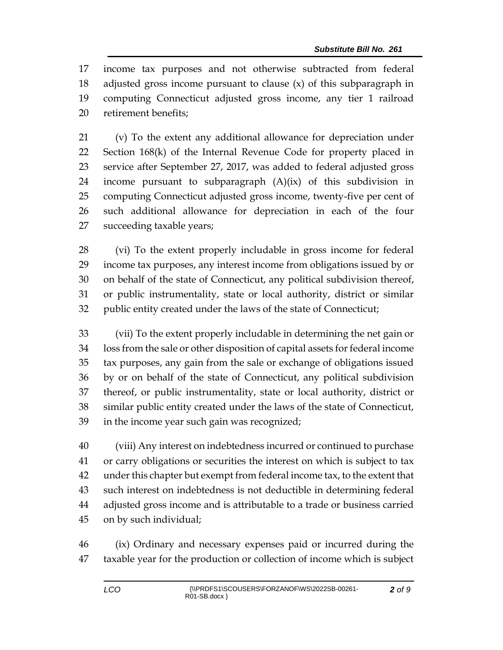income tax purposes and not otherwise subtracted from federal adjusted gross income pursuant to clause (x) of this subparagraph in computing Connecticut adjusted gross income, any tier 1 railroad retirement benefits;

 (v) To the extent any additional allowance for depreciation under Section 168(k) of the Internal Revenue Code for property placed in service after September 27, 2017, was added to federal adjusted gross income pursuant to subparagraph (A)(ix) of this subdivision in computing Connecticut adjusted gross income, twenty-five per cent of such additional allowance for depreciation in each of the four succeeding taxable years;

 (vi) To the extent properly includable in gross income for federal income tax purposes, any interest income from obligations issued by or on behalf of the state of Connecticut, any political subdivision thereof, or public instrumentality, state or local authority, district or similar public entity created under the laws of the state of Connecticut;

 (vii) To the extent properly includable in determining the net gain or loss from the sale or other disposition of capital assets for federal income tax purposes, any gain from the sale or exchange of obligations issued by or on behalf of the state of Connecticut, any political subdivision thereof, or public instrumentality, state or local authority, district or similar public entity created under the laws of the state of Connecticut, in the income year such gain was recognized;

 (viii) Any interest on indebtedness incurred or continued to purchase or carry obligations or securities the interest on which is subject to tax under this chapter but exempt from federal income tax, to the extent that such interest on indebtedness is not deductible in determining federal adjusted gross income and is attributable to a trade or business carried on by such individual;

 (ix) Ordinary and necessary expenses paid or incurred during the taxable year for the production or collection of income which is subject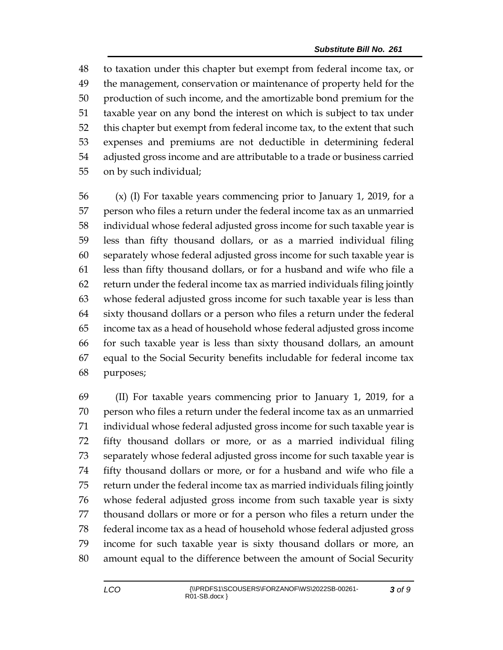to taxation under this chapter but exempt from federal income tax, or the management, conservation or maintenance of property held for the production of such income, and the amortizable bond premium for the taxable year on any bond the interest on which is subject to tax under this chapter but exempt from federal income tax, to the extent that such expenses and premiums are not deductible in determining federal adjusted gross income and are attributable to a trade or business carried on by such individual;

 (x) (I) For taxable years commencing prior to January 1, 2019, for a person who files a return under the federal income tax as an unmarried individual whose federal adjusted gross income for such taxable year is less than fifty thousand dollars, or as a married individual filing separately whose federal adjusted gross income for such taxable year is less than fifty thousand dollars, or for a husband and wife who file a return under the federal income tax as married individuals filing jointly whose federal adjusted gross income for such taxable year is less than sixty thousand dollars or a person who files a return under the federal income tax as a head of household whose federal adjusted gross income for such taxable year is less than sixty thousand dollars, an amount equal to the Social Security benefits includable for federal income tax purposes;

 (II) For taxable years commencing prior to January 1, 2019, for a person who files a return under the federal income tax as an unmarried individual whose federal adjusted gross income for such taxable year is fifty thousand dollars or more, or as a married individual filing separately whose federal adjusted gross income for such taxable year is fifty thousand dollars or more, or for a husband and wife who file a return under the federal income tax as married individuals filing jointly whose federal adjusted gross income from such taxable year is sixty thousand dollars or more or for a person who files a return under the federal income tax as a head of household whose federal adjusted gross income for such taxable year is sixty thousand dollars or more, an amount equal to the difference between the amount of Social Security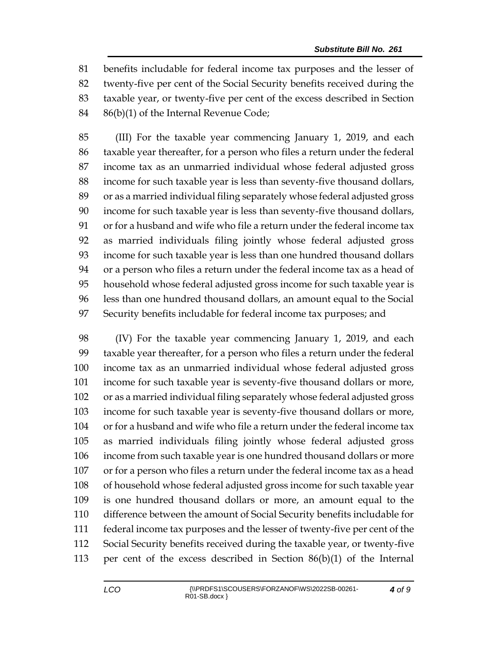benefits includable for federal income tax purposes and the lesser of twenty-five per cent of the Social Security benefits received during the taxable year, or twenty-five per cent of the excess described in Section 86(b)(1) of the Internal Revenue Code;

 (III) For the taxable year commencing January 1, 2019, and each taxable year thereafter, for a person who files a return under the federal income tax as an unmarried individual whose federal adjusted gross income for such taxable year is less than seventy-five thousand dollars, or as a married individual filing separately whose federal adjusted gross income for such taxable year is less than seventy-five thousand dollars, or for a husband and wife who file a return under the federal income tax as married individuals filing jointly whose federal adjusted gross income for such taxable year is less than one hundred thousand dollars or a person who files a return under the federal income tax as a head of household whose federal adjusted gross income for such taxable year is less than one hundred thousand dollars, an amount equal to the Social Security benefits includable for federal income tax purposes; and

 (IV) For the taxable year commencing January 1, 2019, and each taxable year thereafter, for a person who files a return under the federal income tax as an unmarried individual whose federal adjusted gross income for such taxable year is seventy-five thousand dollars or more, or as a married individual filing separately whose federal adjusted gross income for such taxable year is seventy-five thousand dollars or more, or for a husband and wife who file a return under the federal income tax as married individuals filing jointly whose federal adjusted gross income from such taxable year is one hundred thousand dollars or more or for a person who files a return under the federal income tax as a head of household whose federal adjusted gross income for such taxable year is one hundred thousand dollars or more, an amount equal to the difference between the amount of Social Security benefits includable for federal income tax purposes and the lesser of twenty-five per cent of the Social Security benefits received during the taxable year, or twenty-five per cent of the excess described in Section 86(b)(1) of the Internal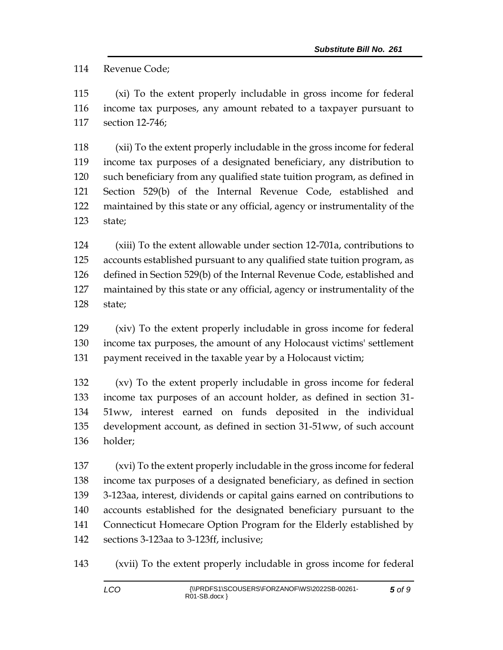Revenue Code;

 (xi) To the extent properly includable in gross income for federal income tax purposes, any amount rebated to a taxpayer pursuant to section 12-746;

 (xii) To the extent properly includable in the gross income for federal income tax purposes of a designated beneficiary, any distribution to such beneficiary from any qualified state tuition program, as defined in Section 529(b) of the Internal Revenue Code, established and maintained by this state or any official, agency or instrumentality of the state;

 (xiii) To the extent allowable under section 12-701a, contributions to accounts established pursuant to any qualified state tuition program, as defined in Section 529(b) of the Internal Revenue Code, established and maintained by this state or any official, agency or instrumentality of the state;

 (xiv) To the extent properly includable in gross income for federal income tax purposes, the amount of any Holocaust victims' settlement payment received in the taxable year by a Holocaust victim;

 (xv) To the extent properly includable in gross income for federal income tax purposes of an account holder, as defined in section 31- 51ww, interest earned on funds deposited in the individual development account, as defined in section 31-51ww, of such account holder;

 (xvi) To the extent properly includable in the gross income for federal income tax purposes of a designated beneficiary, as defined in section 3-123aa, interest, dividends or capital gains earned on contributions to accounts established for the designated beneficiary pursuant to the Connecticut Homecare Option Program for the Elderly established by sections 3-123aa to 3-123ff, inclusive;

(xvii) To the extent properly includable in gross income for federal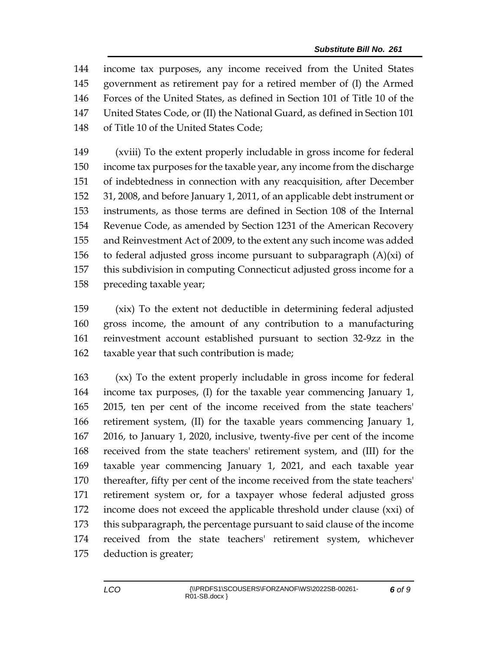income tax purposes, any income received from the United States government as retirement pay for a retired member of (I) the Armed Forces of the United States, as defined in Section 101 of Title 10 of the United States Code, or (II) the National Guard, as defined in Section 101 of Title 10 of the United States Code;

 (xviii) To the extent properly includable in gross income for federal income tax purposes for the taxable year, any income from the discharge of indebtedness in connection with any reacquisition, after December 31, 2008, and before January 1, 2011, of an applicable debt instrument or instruments, as those terms are defined in Section 108 of the Internal Revenue Code, as amended by Section 1231 of the American Recovery and Reinvestment Act of 2009, to the extent any such income was added 156 to federal adjusted gross income pursuant to subparagraph  $(A)(xi)$  of this subdivision in computing Connecticut adjusted gross income for a preceding taxable year;

 (xix) To the extent not deductible in determining federal adjusted gross income, the amount of any contribution to a manufacturing reinvestment account established pursuant to section 32-9zz in the taxable year that such contribution is made;

 (xx) To the extent properly includable in gross income for federal income tax purposes, (I) for the taxable year commencing January 1, 2015, ten per cent of the income received from the state teachers' retirement system, (II) for the taxable years commencing January 1, 2016, to January 1, 2020, inclusive, twenty-five per cent of the income received from the state teachers' retirement system, and (III) for the taxable year commencing January 1, 2021, and each taxable year thereafter, fifty per cent of the income received from the state teachers' retirement system or, for a taxpayer whose federal adjusted gross income does not exceed the applicable threshold under clause (xxi) of this subparagraph, the percentage pursuant to said clause of the income received from the state teachers' retirement system, whichever deduction is greater;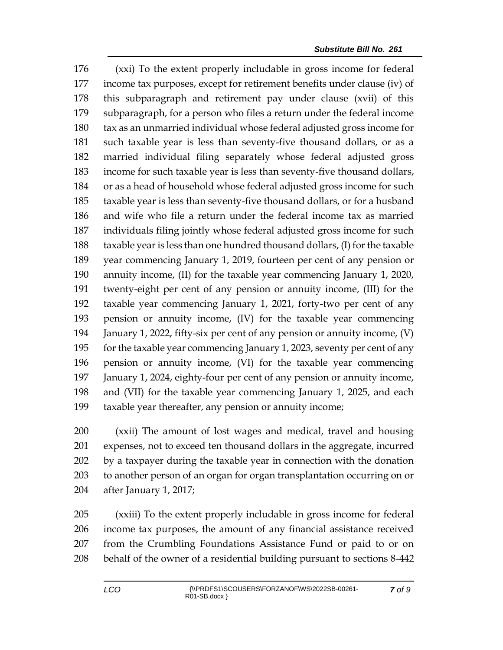(xxi) To the extent properly includable in gross income for federal income tax purposes, except for retirement benefits under clause (iv) of this subparagraph and retirement pay under clause (xvii) of this subparagraph, for a person who files a return under the federal income tax as an unmarried individual whose federal adjusted gross income for such taxable year is less than seventy-five thousand dollars, or as a married individual filing separately whose federal adjusted gross income for such taxable year is less than seventy-five thousand dollars, or as a head of household whose federal adjusted gross income for such taxable year is less than seventy-five thousand dollars, or for a husband and wife who file a return under the federal income tax as married individuals filing jointly whose federal adjusted gross income for such taxable year is less than one hundred thousand dollars, (I) for the taxable year commencing January 1, 2019, fourteen per cent of any pension or annuity income, (II) for the taxable year commencing January 1, 2020, twenty-eight per cent of any pension or annuity income, (III) for the taxable year commencing January 1, 2021, forty-two per cent of any pension or annuity income, (IV) for the taxable year commencing January 1, 2022, fifty-six per cent of any pension or annuity income, (V) for the taxable year commencing January 1, 2023, seventy per cent of any pension or annuity income, (VI) for the taxable year commencing January 1, 2024, eighty-four per cent of any pension or annuity income, and (VII) for the taxable year commencing January 1, 2025, and each taxable year thereafter, any pension or annuity income;

 (xxii) The amount of lost wages and medical, travel and housing expenses, not to exceed ten thousand dollars in the aggregate, incurred by a taxpayer during the taxable year in connection with the donation to another person of an organ for organ transplantation occurring on or after January 1, 2017;

 (xxiii) To the extent properly includable in gross income for federal income tax purposes, the amount of any financial assistance received from the Crumbling Foundations Assistance Fund or paid to or on behalf of the owner of a residential building pursuant to sections 8-442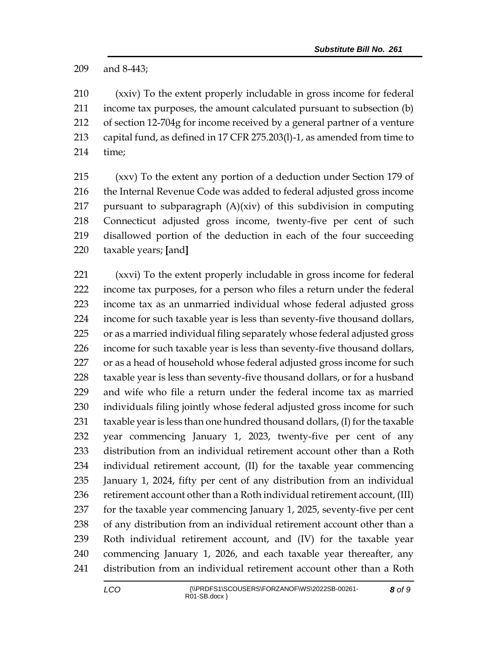and 8-443;

 (xxiv) To the extent properly includable in gross income for federal income tax purposes, the amount calculated pursuant to subsection (b) of section 12-704g for income received by a general partner of a venture capital fund, as defined in 17 CFR 275.203(l)-1, as amended from time to time;

 (xxv) To the extent any portion of a deduction under Section 179 of the Internal Revenue Code was added to federal adjusted gross income pursuant to subparagraph (A)(xiv) of this subdivision in computing Connecticut adjusted gross income, twenty-five per cent of such disallowed portion of the deduction in each of the four succeeding taxable years; **[**and**]**

 (xxvi) To the extent properly includable in gross income for federal income tax purposes, for a person who files a return under the federal income tax as an unmarried individual whose federal adjusted gross income for such taxable year is less than seventy-five thousand dollars, or as a married individual filing separately whose federal adjusted gross income for such taxable year is less than seventy-five thousand dollars, 227 or as a head of household whose federal adjusted gross income for such taxable year is less than seventy-five thousand dollars, or for a husband and wife who file a return under the federal income tax as married individuals filing jointly whose federal adjusted gross income for such taxable year is less than one hundred thousand dollars, (I) for the taxable year commencing January 1, 2023, twenty-five per cent of any distribution from an individual retirement account other than a Roth individual retirement account, (II) for the taxable year commencing January 1, 2024, fifty per cent of any distribution from an individual 236 retirement account other than a Roth individual retirement account, (III) for the taxable year commencing January 1, 2025, seventy-five per cent of any distribution from an individual retirement account other than a Roth individual retirement account, and (IV) for the taxable year commencing January 1, 2026, and each taxable year thereafter, any distribution from an individual retirement account other than a Roth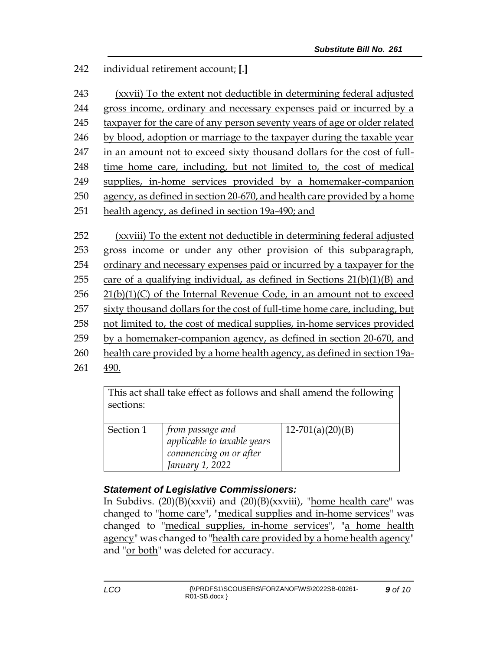## 242 individual retirement account; **[**.**]**

| 243                                                                | (xxvii) To the extent not deductible in determining federal adjusted                                                                                                                                                                                                                                                                                                                                                                                                                                                                                                                                                                                                                                |  |  |
|--------------------------------------------------------------------|-----------------------------------------------------------------------------------------------------------------------------------------------------------------------------------------------------------------------------------------------------------------------------------------------------------------------------------------------------------------------------------------------------------------------------------------------------------------------------------------------------------------------------------------------------------------------------------------------------------------------------------------------------------------------------------------------------|--|--|
| 244                                                                | gross income, ordinary and necessary expenses paid or incurred by a                                                                                                                                                                                                                                                                                                                                                                                                                                                                                                                                                                                                                                 |  |  |
| 245                                                                | taxpayer for the care of any person seventy years of age or older related                                                                                                                                                                                                                                                                                                                                                                                                                                                                                                                                                                                                                           |  |  |
| 246                                                                | by blood, adoption or marriage to the taxpayer during the taxable year                                                                                                                                                                                                                                                                                                                                                                                                                                                                                                                                                                                                                              |  |  |
| 247                                                                | in an amount not to exceed sixty thousand dollars for the cost of full-                                                                                                                                                                                                                                                                                                                                                                                                                                                                                                                                                                                                                             |  |  |
| 248                                                                | time home care, including, but not limited to, the cost of medical                                                                                                                                                                                                                                                                                                                                                                                                                                                                                                                                                                                                                                  |  |  |
| 249                                                                | supplies, in-home services provided by a homemaker-companion                                                                                                                                                                                                                                                                                                                                                                                                                                                                                                                                                                                                                                        |  |  |
| 250                                                                | agency, as defined in section 20-670, and health care provided by a home                                                                                                                                                                                                                                                                                                                                                                                                                                                                                                                                                                                                                            |  |  |
| 251                                                                | health agency, as defined in section 19a-490; and                                                                                                                                                                                                                                                                                                                                                                                                                                                                                                                                                                                                                                                   |  |  |
| 252<br>253<br>254<br>255<br>256<br>257<br>258<br>259<br>260<br>261 | (xxviii) To the extent not deductible in determining federal adjusted<br>gross income or under any other provision of this subparagraph,<br>ordinary and necessary expenses paid or incurred by a taxpayer for the<br>care of a qualifying individual, as defined in Sections $21(b)(1)(B)$ and<br>$21(b)(1)(C)$ of the Internal Revenue Code, in an amount not to exceed<br>sixty thousand dollars for the cost of full-time home care, including, but<br>not limited to, the cost of medical supplies, in-home services provided<br>by a homemaker-companion agency, as defined in section 20-670, and<br>health care provided by a home health agency, as defined in section 19a-<br><u>490.</u> |  |  |
|                                                                    |                                                                                                                                                                                                                                                                                                                                                                                                                                                                                                                                                                                                                                                                                                     |  |  |

This act shall take effect as follows and shall amend the following sections:

| Section 1 | from passage and            | $12-701(a)(20)(B)$ |
|-----------|-----------------------------|--------------------|
|           | applicable to taxable years |                    |
|           | commencing on or after      |                    |
|           | January 1, 2022             |                    |

## *Statement of Legislative Commissioners:*

In Subdivs.  $(20)(B)(xxvii)$  and  $(20)(B)(xxviii)$ , "home health care" was changed to "home care", "medical supplies and in-home services" was changed to "medical supplies, in-home services", "a home health agency" was changed to "health care provided by a home health agency" and "or both" was deleted for accuracy.